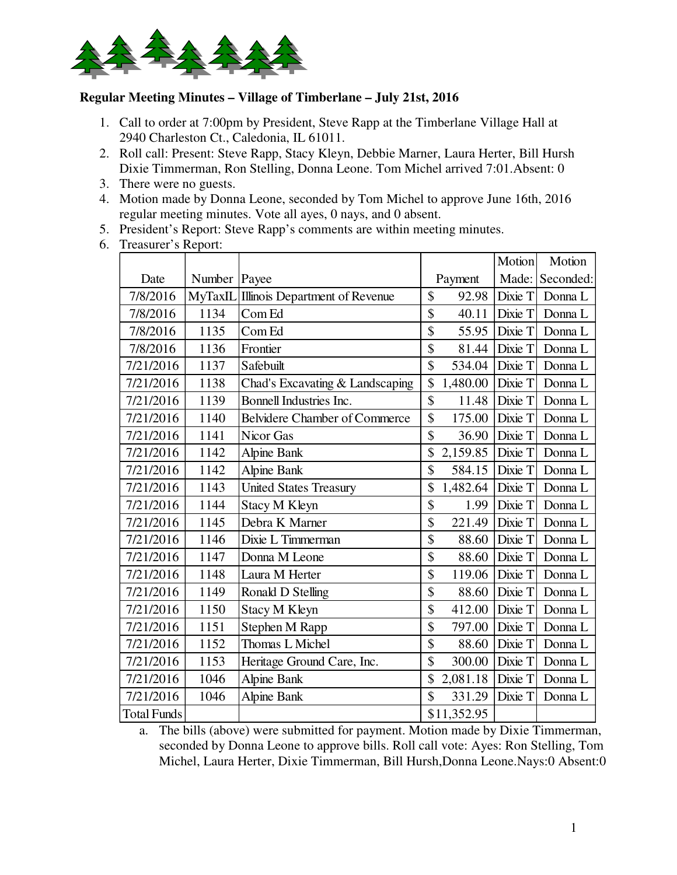

## **Regular Meeting Minutes – Village of Timberlane – July 21st, 2016**

- 1. Call to order at 7:00pm by President, Steve Rapp at the Timberlane Village Hall at 2940 Charleston Ct., Caledonia, IL 61011.
- 2. Roll call: Present: Steve Rapp, Stacy Kleyn, Debbie Marner, Laura Herter, Bill Hursh Dixie Timmerman, Ron Stelling, Donna Leone. Tom Michel arrived 7:01.Absent: 0
- 3. There were no guests.
- 4. Motion made by Donna Leone, seconded by Tom Michel to approve June 16th, 2016 regular meeting minutes. Vote all ayes, 0 nays, and 0 absent.
- 5. President's Report: Steve Rapp's comments are within meeting minutes.
- 6. Treasurer's Report:

|                    |         |                                      |                                   | <b>Motion</b> | Motion          |
|--------------------|---------|--------------------------------------|-----------------------------------|---------------|-----------------|
| Date               | Number  | Payee                                | Payment                           |               | Made: Seconded: |
| 7/8/2016           | MyTaxIL | Illinois Department of Revenue       | \$<br>92.98                       | Dixie T       | Donna L         |
| 7/8/2016           | 1134    | Com Ed                               | \$<br>40.11                       | Dixie T       | Donna L         |
| 7/8/2016           | 1135    | Com Ed                               | \$<br>55.95                       | Dixie T       | Donna L         |
| 7/8/2016           | 1136    | Frontier                             | \$<br>81.44                       | Dixie T       | Donna L         |
| 7/21/2016          | 1137    | Safebuilt                            | \$<br>534.04                      | Dixie T       | Donna L         |
| 7/21/2016          | 1138    | Chad's Excavating & Landscaping      | \$<br>1,480.00                    | Dixie T       | Donna L         |
| 7/21/2016          | 1139    | Bonnell Industries Inc.              | \$<br>11.48                       | Dixie T       | Donna L         |
| 7/21/2016          | 1140    | <b>Belvidere Chamber of Commerce</b> | \$<br>175.00                      | Dixie T       | Donna L         |
| 7/21/2016          | 1141    | Nicor Gas                            | \$<br>36.90                       | Dixie T       | Donna L         |
| 7/21/2016          | 1142    | <b>Alpine Bank</b>                   | \$<br>2,159.85                    | Dixie T       | Donna L         |
| 7/21/2016          | 1142    | <b>Alpine Bank</b>                   | $\overline{\mathbb{S}}$<br>584.15 | Dixie T       | Donna L         |
| 7/21/2016          | 1143    | <b>United States Treasury</b>        | \$<br>1,482.64                    | Dixie T       | Donna L         |
| 7/21/2016          | 1144    | Stacy M Kleyn                        | \$<br>1.99                        | Dixie T       | Donna L         |
| 7/21/2016          | 1145    | Debra K Marner                       | \$<br>221.49                      | Dixie T       | Donna L         |
| 7/21/2016          | 1146    | Dixie L Timmerman                    | \$<br>88.60                       | Dixie T       | Donna L         |
| 7/21/2016          | 1147    | Donna M Leone                        | \$<br>88.60                       | Dixie T       | Donna L         |
| 7/21/2016          | 1148    | Laura M Herter                       | \$<br>119.06                      | Dixie T       | Donna L         |
| 7/21/2016          | 1149    | Ronald D Stelling                    | \$<br>88.60                       | Dixie T       | Donna L         |
| 7/21/2016          | 1150    | Stacy M Kleyn                        | \$<br>412.00                      | Dixie T       | Donna L         |
| 7/21/2016          | 1151    | Stephen M Rapp                       | \$<br>797.00                      | Dixie T       | Donna L         |
| 7/21/2016          | 1152    | Thomas L Michel                      | \$<br>88.60                       | Dixie T       | Donna L         |
| 7/21/2016          | 1153    | Heritage Ground Care, Inc.           | \$<br>300.00                      | Dixie T       | Donna L         |
| 7/21/2016          | 1046    | Alpine Bank                          | 2,081.18                          | Dixie T       | Donna L         |
| 7/21/2016          | 1046    | <b>Alpine Bank</b>                   | \$<br>331.29                      | Dixie T       | Donna L         |
| <b>Total Funds</b> |         |                                      | \$11,352.95                       |               |                 |

a. The bills (above) were submitted for payment. Motion made by Dixie Timmerman, seconded by Donna Leone to approve bills. Roll call vote: Ayes: Ron Stelling, Tom Michel, Laura Herter, Dixie Timmerman, Bill Hursh,Donna Leone.Nays:0 Absent:0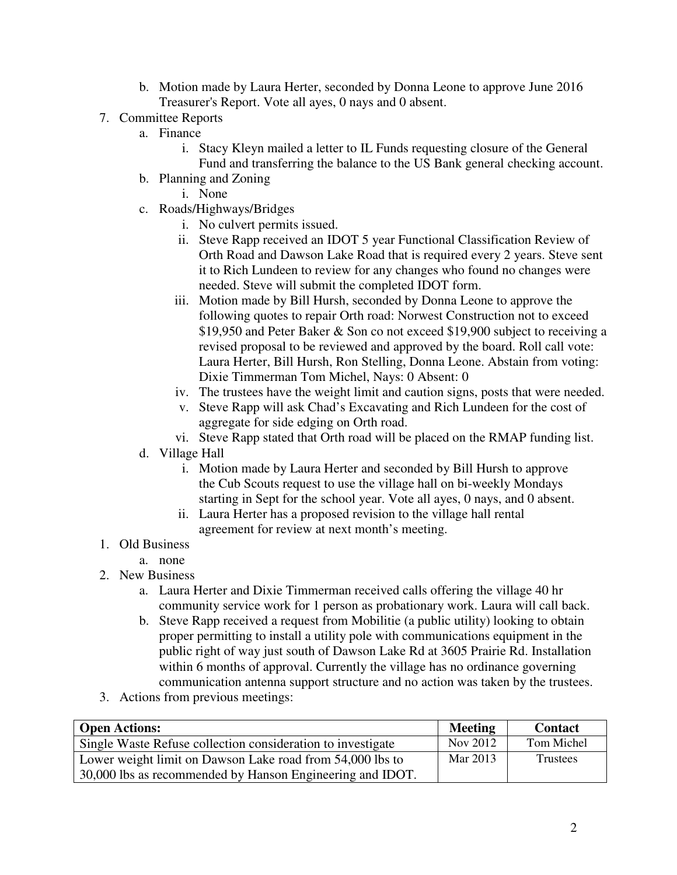- b. Motion made by Laura Herter, seconded by Donna Leone to approve June 2016 Treasurer's Report. Vote all ayes, 0 nays and 0 absent.
- 7. Committee Reports
	- a. Finance
		- i. Stacy Kleyn mailed a letter to IL Funds requesting closure of the General Fund and transferring the balance to the US Bank general checking account.
	- b. Planning and Zoning
		- i. None
	- c. Roads/Highways/Bridges
		- i. No culvert permits issued.
		- ii. Steve Rapp received an IDOT 5 year Functional Classification Review of Orth Road and Dawson Lake Road that is required every 2 years. Steve sent it to Rich Lundeen to review for any changes who found no changes were needed. Steve will submit the completed IDOT form.
		- iii. Motion made by Bill Hursh, seconded by Donna Leone to approve the following quotes to repair Orth road: Norwest Construction not to exceed \$19,950 and Peter Baker & Son co not exceed \$19,900 subject to receiving a revised proposal to be reviewed and approved by the board. Roll call vote: Laura Herter, Bill Hursh, Ron Stelling, Donna Leone. Abstain from voting: Dixie Timmerman Tom Michel, Nays: 0 Absent: 0
		- iv. The trustees have the weight limit and caution signs, posts that were needed.
		- v. Steve Rapp will ask Chad's Excavating and Rich Lundeen for the cost of aggregate for side edging on Orth road.
		- vi. Steve Rapp stated that Orth road will be placed on the RMAP funding list.
	- d. Village Hall
		- i. Motion made by Laura Herter and seconded by Bill Hursh to approve the Cub Scouts request to use the village hall on bi-weekly Mondays starting in Sept for the school year. Vote all ayes, 0 nays, and 0 absent.
		- ii. Laura Herter has a proposed revision to the village hall rental agreement for review at next month's meeting.
- 1. Old Business
	- a. none
- 2. New Business
	- a. Laura Herter and Dixie Timmerman received calls offering the village 40 hr community service work for 1 person as probationary work. Laura will call back.
	- b. Steve Rapp received a request from Mobilitie (a public utility) looking to obtain proper permitting to install a utility pole with communications equipment in the public right of way just south of Dawson Lake Rd at 3605 Prairie Rd. Installation within 6 months of approval. Currently the village has no ordinance governing communication antenna support structure and no action was taken by the trustees.
- 3. Actions from previous meetings:

| <b>Open Actions:</b>                                        | <b>Meeting</b> | <b>Contact</b> |
|-------------------------------------------------------------|----------------|----------------|
| Single Waste Refuse collection consideration to investigate | Nov 2012       | Tom Michel     |
| Lower weight limit on Dawson Lake road from 54,000 lbs to   | Mar 2013       | Trustees       |
| 30,000 lbs as recommended by Hanson Engineering and IDOT.   |                |                |